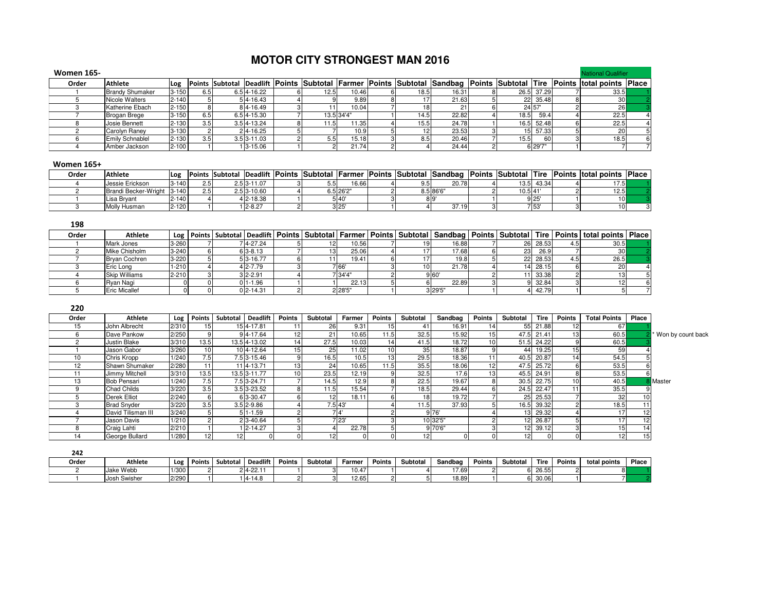## **MOTOR CITY STRONGEST MAN 2016**

| <b>Women 165-</b> |                        |           |     |                 |      |            |      |       |      |            | <b>National Qualifier</b>                                                                                                  |  |
|-------------------|------------------------|-----------|-----|-----------------|------|------------|------|-------|------|------------|----------------------------------------------------------------------------------------------------------------------------|--|
| Order             | <b>Athlete</b>         |           |     |                 |      |            |      |       |      |            | Log Points Subtotal Deadlift Points Subtotal Farmer Points Subtotal Sandbag Points Subtotal Tire Points total points Place |  |
|                   | <b>Brandy Shumaker</b> | $3 - 150$ | 6.5 | $6.5$ 4-16.22   | 12.5 | 10.46      | 18.5 | 16.31 |      | 26.5 37.29 | 33.5                                                                                                                       |  |
|                   | Nicole Walters         | $2 - 140$ |     | 54-16.43        |      | 9.89       |      | 21.63 |      | 22 35.48   | 30                                                                                                                         |  |
|                   | Katherine Ebach        | $2 - 150$ |     | 84-16.49        |      | 10.04      |      |       |      | 24 57      | <b>26</b>                                                                                                                  |  |
|                   | Brogan Brege           | $3 - 150$ | 6.5 | $6.514 - 15.30$ |      | 13.5 34'4" | 14.5 | 22.82 | 18.5 | 59.4       | 22.5                                                                                                                       |  |
|                   | Josie Bennett          | $2 - 130$ | 3.5 | 3.5 4-13.24     |      | 11.35      | 15.5 | 24.78 |      | 16.5 52.48 | 22.5                                                                                                                       |  |
|                   | Carolyn Raney          | $3 - 130$ |     | 24-16.25        |      | 10.9       |      | 23.53 |      | 15 57.33   | 20                                                                                                                         |  |
|                   | <b>Emily Schnablel</b> | $2 - 130$ | 3.5 | $3.5$ $3-11.03$ | 5.5  | 15.18      | 8.5  | 20.46 | 15.5 | 60         | 18.5                                                                                                                       |  |
|                   | Amber Jackson          | $2 - 100$ |     | 13-15.06        |      | 21.74      |      | 24.44 |      | 6 29'7"    |                                                                                                                            |  |

## Women 165+

| Order | <b>Athlete</b>       | Log       |                  |               |  |          |   | Points Subtotal Deadlift Points Subtotal Farmer Points Subtotal Sandbag | <b>Points Subtotal Tire</b> |       | Points total points | <b>IPlace</b> |
|-------|----------------------|-----------|------------------|---------------|--|----------|---|-------------------------------------------------------------------------|-----------------------------|-------|---------------------|---------------|
|       | Jessie Erickson      | 3-140     | 2.5              | 2.5 3-11.07   |  | 16.66    | ◡ | 20.78                                                                   | 135                         | 43.34 | 17.51               |               |
|       | Brandi Becker-Wright | $3-140$   | 2.5 <sub>1</sub> | $2.5$ 3-10.60 |  | "5 26'2. |   | 3.5866'                                                                 | 10.5 41                     |       | 12.5.               |               |
|       | Lisa Bryant          | $2 - 140$ |                  | 4 2-18.38     |  | 5 40     |   |                                                                         |                             | 9 25  | 10 <sup>1</sup>     |               |
|       | Molly Husman         | 2-120     |                  | $1 2 - 8.27$  |  | 3 25     |   | 37.19                                                                   |                             | 7 53  |                     |               |

| 198   |                      |           |  |               |  |         |    |         |    |          |     |                                                                                                                                                          |  |
|-------|----------------------|-----------|--|---------------|--|---------|----|---------|----|----------|-----|----------------------------------------------------------------------------------------------------------------------------------------------------------|--|
| Order | <b>Athlete</b>       |           |  |               |  |         |    |         |    |          |     | Log   Points   Subtotal   Deadlift   Points   Subtotal   Farmer   Points   Subtotal   Sandbag   Points   Subtotal   Tire   Points   total points   Place |  |
|       | Mark Jones           | $3 - 260$ |  | $4 - 27.24$   |  | 10.56   | 19 | 16.88   |    | 26 28.53 | 4.O | 30.5                                                                                                                                                     |  |
|       | Mike Chisholm        | $3 - 240$ |  | $613 - 8.13$  |  | 25.06   |    | 17.68   | 23 | 26.9     |     | 30 <sub>l</sub>                                                                                                                                          |  |
|       | <b>Bryan Cochren</b> | $3 - 220$ |  | 53-16.77      |  | 19.41   |    | 19.8    |    | 22 28.53 | 4.5 | 26.5                                                                                                                                                     |  |
|       | Eric Long            | $1 - 210$ |  | 4 2-7.79      |  | 7 66'   | 10 | 21.781  |    | 14 28.15 |     | 20                                                                                                                                                       |  |
|       | <b>Skip Williams</b> | $2 - 210$ |  | $3 2-2.91$    |  | 7 34'4' |    | 9 60    |    | 33.38    |     |                                                                                                                                                          |  |
|       | Ryan Nagi            |           |  | 01-1.96       |  | 22.13   |    | 22.89   |    | 32.84    |     |                                                                                                                                                          |  |
|       | <b>Eric Micallef</b> |           |  | $012 - 14.31$ |  | 2 28'5" |    | 3 29'5" |    | 42.79    |     |                                                                                                                                                          |  |

| 220   |                     |       |                 |          |                 |                 |          |                |               |          |          |                 |                 |             |                 |                     |                 |                     |
|-------|---------------------|-------|-----------------|----------|-----------------|-----------------|----------|----------------|---------------|----------|----------|-----------------|-----------------|-------------|-----------------|---------------------|-----------------|---------------------|
| Order | Athlete             | Log   | Points          | Subtotal | <b>Deadlift</b> | <b>Points</b>   | Subtotal | Farmer         | <b>Points</b> | Subtotal | Sandbag  | <b>Points</b>   | Subtotal        | <b>Tire</b> | <b>Points</b>   | <b>Total Points</b> | Place           |                     |
| 15    | John Albrecht       | 2/310 | 15              |          | 154-17.81       |                 | 26       | 9.31           | 15            | 41       | 16.91    | 14I             |                 | 55 21.88    | 12              | 67                  |                 |                     |
|       | Dave Pankow         | 2/250 |                 |          | 94-17.64        | 12              | 21       | 10.65          | 11.5          | 32.5     | 15.92    | 15              |                 | 47.5 21.41  | 13              | 60.5                |                 | * Won by count back |
|       | <b>Justin Blake</b> | 3/310 | 13.5            |          | 13.5 4-13.02    | 14 <sub>l</sub> | 27.5     | 10.03          | 14            | 41.5     | 18.72    | 10 <sub>1</sub> |                 | 51.5 24.22  |                 | 60.5                |                 |                     |
|       | Jason Gabor         | 3/260 | 10 <sub>1</sub> |          | 10 4-12.64      | 15 <sup>1</sup> | 25       | 11.02          | 10            | 35       | 18.87    |                 | 44              | 19.25       | 15              | 59                  |                 |                     |
| 10    | Chris Kropp         | 1/240 | 7.5             |          | 7.5 3-15.46     | 9               | 16.5     | 10.5           | 13            | 29.5     | 18.36    | 11              | 40.5            | 20.87       | 14              | 54.5                |                 |                     |
| 12    | Shawn Shumaker      | 2/280 |                 |          | 11 4-13.71      | 13 <sub>1</sub> | 24       | 10.65          | 11.5          | 35.5     | 18.06    | 12              | 47.5            | 25.72       |                 | 53.5                |                 |                     |
|       | Jimmy Mitchell      | 3/310 | 13.5            |          | 13.5 3-11.77    | 10 <sub>1</sub> | 23.5     | 12.19          |               | 32.5     | 17.6     | 13              | 45.5            | 24.91       |                 | 53.5                |                 |                     |
| 13    | <b>Bob Pensari</b>  | 1/240 | 7.5             |          | 7.5 3-24.71     |                 | 14.5     | 12.9           |               | 22.5     | 19.67    |                 | 30.5            | 22.75       | 10 <sup>1</sup> | 40.5                |                 | Master              |
|       | Chad Childs         | 3/220 | 3.5             |          | 3.5 3-23.52     |                 | 11.5     | 15.54          |               | 18.5     | 29.44    |                 | 24.5            | 22.47       |                 | 35.5                |                 |                     |
|       | Derek Elliot        | 2/240 |                 |          | 6 3-30.47       |                 |          | 18.11          |               | 18       | 19.72    |                 | 25              | 25.53       |                 | 32                  | 10              |                     |
|       | <b>Brad Snyder</b>  | 3/220 | 3.5             |          | $3.5$ 2-9.86    |                 | 7.5 43'  |                |               | 11.5     | 37.93    |                 |                 | 16.5 39.32  |                 | 18.5                |                 |                     |
|       | David Tilisman III  | 3/240 |                 |          | $51 - 1.59$     |                 |          | $\overline{4}$ |               |          | 176'     |                 | 13              | 29.32       |                 |                     | 12              |                     |
|       | Jason Davis         | 1/210 |                 |          | 2 3-40.64       |                 |          | ' 23'          |               |          | 10 32'5" |                 |                 | 26.87       |                 |                     | 12              |                     |
|       | Craig Lahti         | 2/210 |                 |          | 12-14.27        |                 |          | 22.78          |               |          | 9 70'6"  |                 | 12 <sub>1</sub> | 39.12       |                 |                     | 14              |                     |
| 14    | George Bullard      | 1/280 | 12 <sup>1</sup> | 12       |                 |                 |          |                |               | 12       |          |                 | 12              |             |                 | 12                  | 15 <sub>1</sub> |                     |

| 242   |                     |            |        |            |            |        |          |        |        |          |         |        |          |       |               |              |       |
|-------|---------------------|------------|--------|------------|------------|--------|----------|--------|--------|----------|---------|--------|----------|-------|---------------|--------------|-------|
| Order | <b>Athlete</b>      | <b>Log</b> | Points | Subtotal I | Deadlift   | Points | Subtotal | Farmer | Points | Subtotal | Sandbag | Points | Subtotal | Tire  | <b>Points</b> | total points | Place |
|       | Jake Webb           | 1/300      |        |            | 24-22.11   |        |          | 10.47  |        |          | 17.69   |        |          | 26.55 |               |              |       |
|       | <b>Josh Swisher</b> | 2/290      |        |            | $4 - 14.8$ |        |          | 12.65  |        |          | 18.89   |        |          | 30.06 |               |              |       |